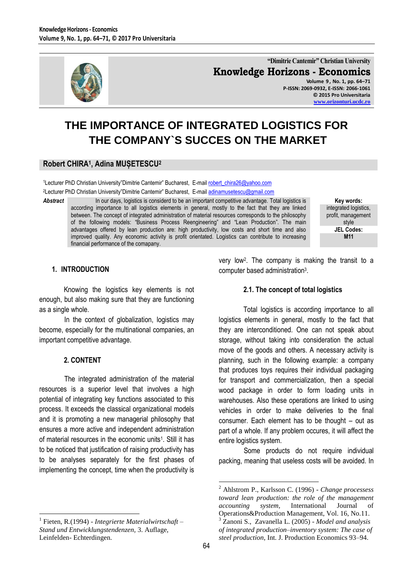

**"Dimitrie Cantemir" Christian University Knowledge Horizons - Economics Volume 9 , No. 1, pp. 64–71 P-ISSN: 2069-0932, E-ISSN: 2066-1061**

**© 2015 Pro Universitaria [www.orizonturi.ucdc.ro](http://www.orizonturi.ucdc.ro/)**

# **THE IMPORTANCE OF INTEGRATED LOGISTICS FOR THE COMPANY`S SUCCES ON THE MARKET**

# **Robert CHIRA<sup>1</sup> , Adina MUȘETESCU<sup>2</sup>**

1Lecturer PhD Christian University"Dimitrie Cantemir" Bucharest, E-mai[l robert\\_chira26@yahoo.com](mailto:robert_chira26@yahoo.com) <sup>2</sup>Lecturer PhD Christian University"Dimitrie Cantemir" Bucharest, E-mai[l adinamusetescu@gmail.com](mailto:adinamusetescu@gmail.com)

Abstract In our days, logistics is considerd to be an important competitive advantage. Total logistics is according importance to all logistics elements in general, mostly to the fact that they are linked between. The concept of integrated administration of material resources corresponds to the philosophy of the following models: "Business Process Reengineering" and "Lean Production". The main advantages offered by lean production are: high productivity, low costs and short time and also improved quality. Any economic activity is profit orientated. Logistics can contribute to increasing financial performance of the comapany.

**Key words:** integrated logistics, profit, management style **JEL Codes: M11**

#### **1. INTRODUCTION**

Knowing the logistics key elements is not enough, but also making sure that they are functioning as a single whole.

In the context of globalization, logistics may become, especially for the multinational companies, an important competitive advantage.

#### **2. CONTENT**

 $\overline{a}$ 

The integrated administration of the material resources is a superior level that involves a high potential of integrating key functions associated to this process. It exceeds the classical organizational models and it is promoting a new managerial philosophy that ensures a more active and independent administration of material resources in the economic units<sup>1</sup>. Still it has to be noticed that justification of raising productivity has to be analyses separately for the first phases of implementing the concept, time when the productivity is

1 Fieten, R*.*(1994) - *Integrierte Materialwirtschaft – Stand und Entwicklungstendenzen,* 3. Auflage, Leinfelden- Echterdingen.

very low<sup>2</sup> . The company is making the transit to a computer based administration<sup>3</sup>.

#### **2.1. The concept of total logistics**

Total logistics is according importance to all logistics elements in general, mostly to the fact that they are interconditioned. One can not speak about storage, without taking into consideration the actual move of the goods and others. A necessary activity is planning, such in the following example: a company that produces toys requires their individual packaging for transport and commercialization, then a special wood package in order to form loading units in warehouses. Also these operations are linked to using vehicles in order to make deliveries to the final consumer. Each element has to be thought – out as part of a whole. If any problem occures, it will affect the entire logistics system.

Some products do not require individual packing, meaning that useless costs will be avoided. In

<sup>2</sup> Ahlstrom P., Karlsson C. (1996) - *Change processess toward lean production: the role of the management accounting system,* International Journal of Operations&Production Management, Vol. 16, No.11. <sup>3</sup> Zanoni S., Zavanella L. (2005) - *Model and analysis of integrated production–inventory system: The case of steel production*, Int. J. Production Economics 93–94.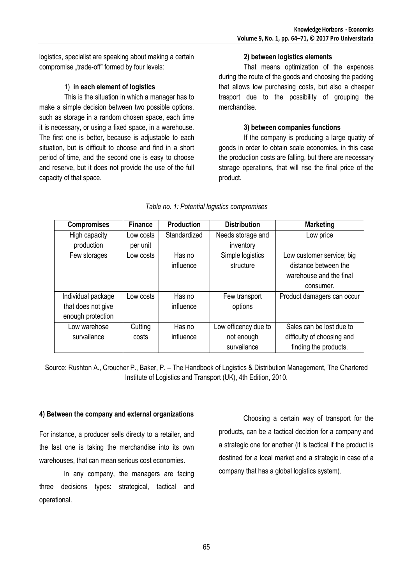logistics, specialist are speaking about making a certain compromise .trade-off" formed by four levels:

# 1) **in each element of logistics**

This is the situation in which a manager has to make a simple decision between two possible options, such as storage in a random chosen space, each time it is necessary, or using a fixed space, in a warehouse. The first one is better, because is adjustable to each situation, but is difficult to choose and find in a short period of time, and the second one is easy to choose and reserve, but it does not provide the use of the full capacity of that space.

### **2) between logistics elements**

That means optimization of the expences during the route of the goods and choosing the packing that allows low purchasing costs, but also a cheeper trasport due to the possibility of grouping the merchandise.

# **3) between companies functions**

If the company is producing a large quatity of goods in order to obtain scale economies, in this case the production costs are falling, but there are necessary storage operations, that will rise the final price of the product.

| <b>Compromises</b> | <b>Finance</b> | <b>Production</b> | <b>Distribution</b>  | <b>Marketing</b>           |
|--------------------|----------------|-------------------|----------------------|----------------------------|
| High capacity      | Low costs      | Standardized      | Needs storage and    | Low price                  |
| production         | per unit       |                   | inventory            |                            |
| Few storages       | Low costs      | Has no            | Simple logistics     | Low customer service; big  |
|                    |                | influence         | structure            | distance between the       |
|                    |                |                   |                      | warehouse and the final    |
|                    |                |                   |                      | consumer.                  |
| Individual package | Low costs      | Has no            | Few transport        | Product damagers can occur |
| that does not give |                | influence         | options              |                            |
| enough protection  |                |                   |                      |                            |
| Low warehose       | Cutting        | Has no            | Low efficency due to | Sales can be lost due to   |
| survailance        | costs          | influence         | not enough           | difficulty of choosing and |
|                    |                |                   | survailance          | finding the products.      |

# *Table no. 1: Potential logistics compromises*

Source: Rushton A., Croucher P., Baker, P. – The Handbook of Logistics & Distribution Management, The Chartered Institute of Logistics and Transport (UK), 4th Edition, 2010.

# **4) Between the company and external organizations**

For instance, a producer sells directy to a retailer, and the last one is taking the merchandise into its own warehouses, that can mean serious cost economies.

In any company, the managers are facing three decisions types: strategical, tactical and operational.

Choosing a certain way of transport for the products, can be a tactical decizion for a company and a strategic one for another (it is tactical if the product is destined for a local market and a strategic in case of a company that has a global logistics system).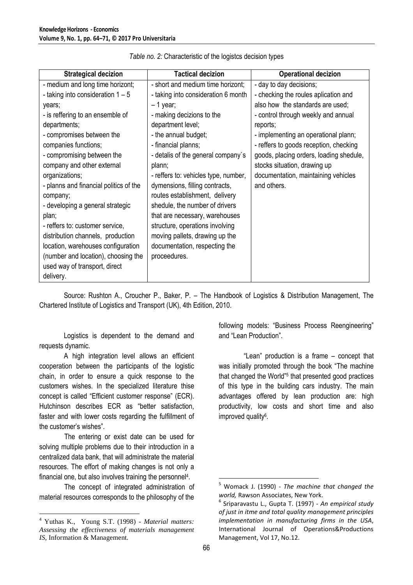| <b>Strategical decizion</b>            | <b>Tactical decizion</b>             | <b>Operational decizion</b>             |
|----------------------------------------|--------------------------------------|-----------------------------------------|
| - medium and long time horizont;       | - short and medium time horizont;    | - day to day decisions;                 |
| - taking into consideration $1 - 5$    | - taking into consideration 6 month  | - checking the roules aplication and    |
| years;                                 | $-1$ year;                           | also how the standards are used;        |
| - is reffering to an ensemble of       | - making decizions to the            | - control through weekly and annual     |
| departments;                           | department level;                    | reports;                                |
| - compromises between the              | - the annual budget;                 | - implementing an operational plann;    |
| companies functions;                   | - financial planns;                  | - reffers to goods reception, checking  |
| - compromising between the             | - detalis of the general company's   | goods, placing orders, loading shedule, |
| company and other external             | plann;                               | stocks situation, drawing up            |
| organizations;                         | - reffers to: vehicles type, number, | documentation, maintaining vehicles     |
| - planns and financial politics of the | dymensions, filling contracts,       | and others.                             |
| company;                               | routes establishment, delivery       |                                         |
| - developing a general strategic       | shedule, the number of drivers       |                                         |
| plan;                                  | that are necessary, warehouses       |                                         |
| - reffers to: customer service,        | structure, operations involving      |                                         |
| distribution channels, production      | moving pallets, drawing up the       |                                         |
| location, warehouses configuration     | documentation, respecting the        |                                         |
| (number and location), choosing the    | proceedures.                         |                                         |
| used way of transport, direct          |                                      |                                         |
| delivery.                              |                                      |                                         |

Source: Rushton A., Croucher P., Baker, P. – The Handbook of Logistics & Distribution Management, The Chartered Institute of Logistics and Transport (UK), 4th Edition, 2010.

Logistics is dependent to the demand and requests dynamic.

A high integration level allows an efficient cooperation between the participants of the logistic chain, in order to ensure a quick response to the customers wishes. In the specialized literature thise concept is called "Efficient customer response" (ECR). Hutchinson describes ECR as "better satisfaction, faster and with lower costs regarding the fulfillment of the customer's wishes".

The entering or exist date can be used for solving multiple problems due to their introduction in a centralized data bank, that will administrate the material resources. The effort of making changes is not only a financial one, but also involves training the personnel<sup>4</sup>.

The concept of integrated administration of material resources corresponds to the philosophy of the

 $\overline{a}$ 

following models: "Business Process Reengineering" and "Lean Production".

"Lean" production is a frame – concept that was initially promoted through the book "The machine that changed the World"<sup>5</sup> that presented good practices of this type in the building cars industry. The main advantages offered by lean production are: high productivity, low costs and short time and also improved quality<sup>6</sup>.

<sup>4</sup> Yuthas K., Young S.T. (1998) - *Material matters: Assessing the effectiveness of materials management IS*, Information & Management.

<sup>5</sup> Womack J. (1990) - *The machine that changed the world,* Rawson Associates, New York.

<sup>6</sup> Sriparavastu L., Gupta T. (1997) - *An empirical study of just in itme and total quality management principles implementation in manufacturing firms in the USA*, International Journal of Operations&Productions Management, Vol 17, No.12.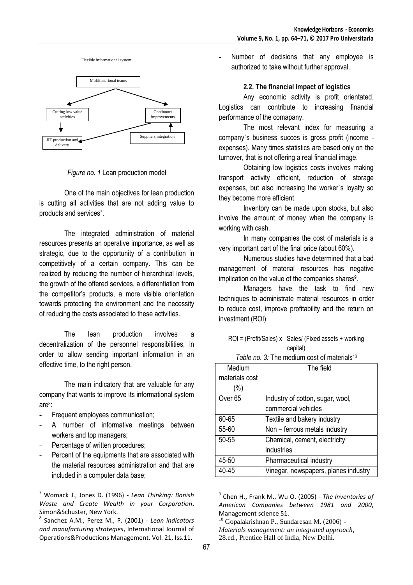

*Figure no. 1* Lean production model

One of the main objectives for lean production is cutting all activities that are not adding value to products and services<sup>7</sup> .

The integrated administration of material resources presents an operative importance, as well as strategic, due to the opportunity of a contribution in competitively of a certain company. This can be realized by reducing the number of hierarchical levels, the growth of the offered services, a differentiation from the competitor's products, a more visible orientation towards protecting the environment and the necessity of reducing the costs associated to these activities.

The lean production involves a decentralization of the personnel responsibilities, in order to allow sending important information in an effective time, to the right person.

The main indicatory that are valuable for any company that wants to improve its informational system are<sup>8</sup> :

- Frequent employees communication;
- A number of informative meetings between workers and top managers;
- Percentage of written procedures;

 $\overline{a}$ 

Percent of the equipments that are associated with the material resources administration and that are included in a computer data base;

Number of decisions that any employee is authorized to take without further approval.

#### **2.2. The financial impact of logistics**

Any economic activity is profit orientated. Logistics can contribute to increasing financial performance of the comapany.

The most relevant index for measuring a company`s business succes is gross profit (income expenses). Many times statistics are based only on the turnover, that is not offering a real financial image.

Obtaining low logistics costs involves making transport activity efficient, reduction of storage expenses, but also increasing the worker`s loyalty so they become more efficient.

Inventory can be made upon stocks, but also involve the amount of money when the company is working with cash.

In many companies the cost of materials is a very important part of the final price (about 60%).

Numerous studies have determined that a bad management of material resources has negative implication on the value of the companies shares<sup>9</sup>.

Managers have the task to find new techniques to administrate material resources in order to reduce cost, improve profitability and the return on investment (ROI).

| $ROI = (Profit/Sales) \times Sales / (Fixed assets + working)$ |
|----------------------------------------------------------------|
| capital)                                                       |
|                                                                |

*Table no.* 3: The medium cost of materials<sup>10</sup>

| Medium             | The field                            |
|--------------------|--------------------------------------|
| materials cost     |                                      |
| (%)                |                                      |
| Over <sub>65</sub> | Industry of cotton, sugar, wool,     |
|                    | commercial vehicles                  |
| 60-65              | Textile and bakery industry          |
| 55-60              | Non - ferrous metals industry        |
| 50-55              | Chemical, cement, electricity        |
|                    | industries                           |
| 45-50              | Pharmaceutical industry              |
| 40-45              | Vinegar, newspapers, planes industry |

<sup>9</sup> Chen H., Frank M., Wu O. (2005) - *The Inventories of American Companies between 1981 and 2000*, Management science 51.

<sup>7</sup> Womack J., Jones D. (1996) - *Lean Thinking: Banish Waste and Create Wealth in your Corporation*, Simon&Schuster, New York.

<sup>8</sup> Sanchez A.M., Perez M., P. (2001) - *Lean indicators and manufacturing strategies*, International Journal of Operations&Productions Management, Vol. 21, Iss.11.

 $10$  Gopalakrishnan P., Sundaresan M. (2006) -*Materials management: an integrated approach,* 28.ed., Prentice Hall of India, New Delhi.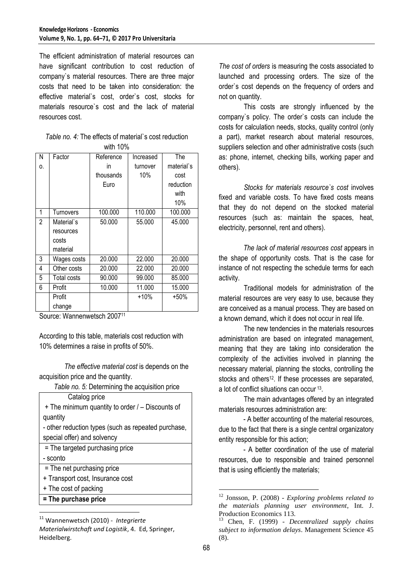The efficient administration of material resources can have significant contribution to cost reduction of company`s material resources. There are three major costs that need to be taken into consideration: the effective material`s cost, order`s cost, stocks for materials resource`s cost and the lack of material resources cost.

| <i>Table no. 4:</i> The effects of material's cost reduction |
|--------------------------------------------------------------|
| with $10\%$                                                  |

| N  | Factor      | Reference | Increased | The        |
|----|-------------|-----------|-----------|------------|
| 0. |             | in        | turnover  | material`s |
|    |             | thousands | 10%       | cost       |
|    |             | Euro      |           | reduction  |
|    |             |           |           | with       |
|    |             |           |           | 10%        |
| 1  | Turnovers   | 100.000   | 110.000   | 100.000    |
| 2  | Material's  | 50.000    | 55.000    | 45.000     |
|    | resources   |           |           |            |
|    | costs       |           |           |            |
|    | material    |           |           |            |
| 3  | Wages costs | 20.000    | 22.000    | 20.000     |
| 4  | Other costs | 20.000    | 22.000    | 20.000     |
| 5  | Total costs | 90.000    | 99.000    | 85.000     |
| 6  | Profit      | 10.000    | 11.000    | 15.000     |
|    | Profit      |           | $+10%$    | $+50%$     |
|    | change      |           |           |            |

Source: Wannenwetsch 2007<sup>11</sup>

According to this table, materials cost reduction with 10% determines a raise in profits of 50%.

*The effective material cost* is depends on the acquisition price and the quantity.

*Table no. 5:* Determining the acquisition price

| Catalog price |  |
|---------------|--|
|               |  |

| + The minimum quantity to order / – Discounts of |  |  |
|--------------------------------------------------|--|--|
| quantity                                         |  |  |

- other reduction types (such as repeated purchase, special offer) and solvency

- = The targeted purchasing price - sconto
- = The net purchasing price
- + Transport cost, Insurance cost
- + The cost of packing
- **= The purchase price**

 $\overline{a}$ 

*The cost of orders* is measuring the costs associated to launched and processing orders. The size of the order`s cost depends on the frequency of orders and not on quantity.

This costs are strongly influenced by the company`s policy. The order`s costs can include the costs for calculation needs, stocks, quality control (only a part), market research about material resources, suppliers selection and other administrative costs (such as: phone, internet, checking bills, working paper and others).

*Stocks for materials resource`s cost* involves fixed and variable costs. To have fixed costs means that they do not depend on the stocked material resources (such as: maintain the spaces, heat, electricity, personnel, rent and others).

*The lack of material resources cost* appears in the shape of opportunity costs. That is the case for instance of not respecting the schedule terms for each activity.

Traditional models for administration of the material resources are very easy to use, because they are conceived as a manual process. They are based on a known demand, which it does not occur in real life.

The new tendencies in the materials resources administration are based on integrated management, meaning that they are taking into consideration the complexity of the activities involved in planning the necessary material, planning the stocks, controlling the stocks and others<sup>12</sup>. If these processes are separated, a lot of conflict situations can occur <sup>13</sup> .

The main advantages offered by an integrated materials resources administration are:

- A better accounting of the material resources, due to the fact that there is a single central organizatory entity responsible for this action;

- A better coordination of the use of material resources, due to responsible and trained personnel that is using efficiently the materials;

<sup>11</sup> Wannenwetsch (2010) - *Integrierte Materialwirstchaft und Logistik*, 4. Ed, Springer, Heidelberg.

<sup>12</sup> Jonsson, P. (2008) - *Exploring problems related to the materials planning user environment*, Int. J. Production Economics 113.

<sup>13</sup> Chen, F. (1999) - *Decentralized supply chains subject to information delays*. Management Science 45 (8).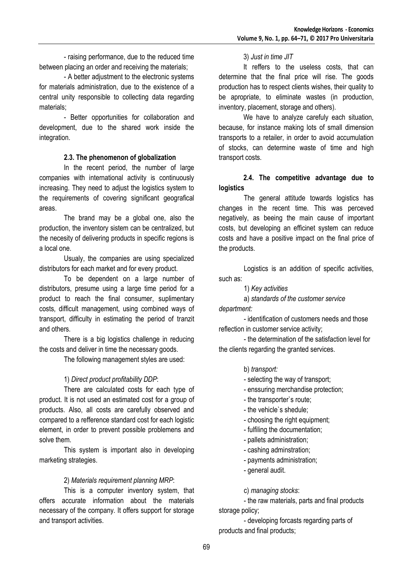- raising performance, due to the reduced time between placing an order and receiving the materials;

- A better adjustment to the electronic systems for materials administration, due to the existence of a central unity responsible to collecting data regarding materials;

- Better opportunities for collaboration and development, due to the shared work inside the integration.

# **2.3. The phenomenon of globalization**

In the recent period, the number of large companies with international activity is continuously increasing. They need to adjust the logistics system to the requirements of covering significant geografical areas.

The brand may be a global one, also the production, the inventory sistem can be centralized, but the necesity of delivering products in specific regions is a local one.

Usualy, the companies are using specialized distributors for each market and for every product.

To be dependent on a large number of distributors, presume using a large time period for a product to reach the final consumer, suplimentary costs, difficult management, using combined ways of transport, difficulty in estimating the period of tranzit and others.

There is a big logistics challenge in reducing the costs and deliver in time the necessary goods.

The following management styles are used:

# 1) *Direct product profitability DDP*:

There are calculated costs for each type of product. It is not used an estimated cost for a group of products. Also, all costs are carefully observed and compared to a refference standard cost for each logistic element, in order to prevent possible problemens and solve them.

This system is important also in developing marketing strategies.

# 2) *Materials requirement planning MRP*:

This is a computer inventory system, that offers accurate information about the materials necessary of the company. It offers support for storage and transport activities.

# 3) *Just in time JIT*

It reffers to the useless costs, that can determine that the final price will rise. The goods production has to respect clients wishes, their quality to be apropriate, to eliminate wastes (in production, inventory, placement, storage and others).

We have to analyze carefuly each situation, because, for instance making lots of small dimension transports to a retailer, in order to avoid accumulation of stocks, can determine waste of time and high transport costs.

# **2.4. The competitive advantage due to logistics**

The general attitude towards logistics has changes in the recent time. This was perceved negatively, as beeing the main cause of important costs, but developing an efficinet system can reduce costs and have a positive impact on the final price of the products.

Logistics is an addition of specific activities, such as:

1) *Key activities*

a) *standards of the customer service department:*

- identification of customers needs and those reflection in customer service activity;

- the determination of the satisfaction level for the clients regarding the granted services.

# b) *transport:*

- selecting the way of transport;
- enssuring merchandise protection;
- the transporter`s route;
- the vehicle`s shedule;
- choosing the right equipment;
- fulfiling the documentation;
- pallets administration;
- cashing adminstration;
- payments administration;
- general audit.

c) *managing stocks*:

- the raw materials, parts and final products storage policy;

- developing forcasts regarding parts of products and final products;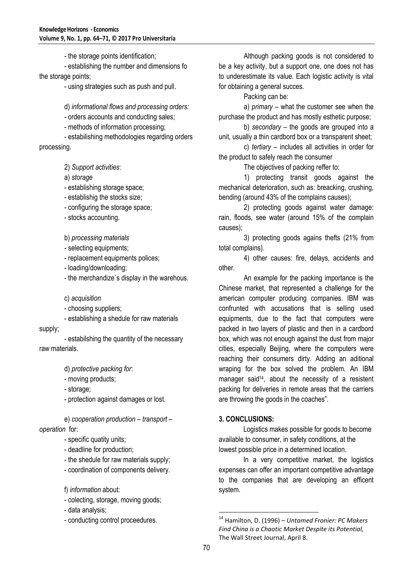- the storage points identification;

- establishing the number and dimensions fo the storage points;

- using strategies such as push and pull.

d) *informational flows and processing orders:*

- orders accounts and conducting sales;

- methods of information processing;

- estabilishing methodologies regarding orders processing.

2) *Support activities*:

a) *storage*

- establishing storage space;

- establishig the stocks size;

- configuring the storage space;

- stocks accounting.

b) *processing materials*

- selecting equipments;

- replacement equipments polices;

- loading/downloading;

- the merchandize`s display in the warehous.

c) *acquisition*

- choosing suppliers;

- establishing a shedule for raw materials

supply;

- estabilshing the quantity of the necessary raw materials.

d) *protective packing for*:

- moving products;

- storage;

- protection against damages or lost.

e) *cooperation production – transport – operation* for:

- specific quatity units;

- deadline for production;

- the shedule for raw materials supply;

- coordination of components delivery.

f) *information* about:

- colecting, storage, moving goods;

- data analysis;

- conducting control proceedures.

Although packing goods is not considered to be a key activity, but a support one, one does not has to underestimate its value. Each logistic activity is vital for obtaining a general succes.

Packing can be:

a) *primary –* what the customer see when the purchase the product and has mostly esthetic purpose;

b) *secondary –* the goods are grouped into a unit, usually a thin cardbord box or a transparent sheet;

c) *tertiary –* includes all activities in order for the product to safely reach the consumer

The objectives of packing reffer to:

1) protecting transit goods against the mechanical deterioration, such as: breacking, crushing, bending (around 43% of the complains causes);

2) protecting goods against water damage: rain, floods, see water (around 15% of the complain causes);

3) protecting goods agains thefts (21% from total complains).

4) other causes: fire, delays, accidents and other.

An example for the packing importance is the Chinese market, that represented a challenge for the american computer producing companies. IBM was confrunted with accusations that is selling used equipments, due to the fact that computers were packed in two layers of plastic and then in a cardbord box, which was not enough against the dust from major cities, especially Beijing, where the computers were reaching their consumers dirty. Adding an aditional wraping for the box solved the problem. An IBM manager said<sup>14</sup>, about the necessity of a resistent packing for deliveries in remote areas that the carriers are throwing the goods in the coaches".

#### **3. CONCLUSIONS:**

Logistics makes possible for goods to become available to consumer, in safety conditions, at the lowest possible price in a determined location.

In a very competitive market, the logistics expenses can offer an important competitive advantage to the companies that are developing an efficent system.

<sup>14</sup> Hamilton, D. (1996) – *Untamed Fronier: PC Makers Find China is a Chaotic Market Despite its Potential,*  The Wall Street Journal, April 8.